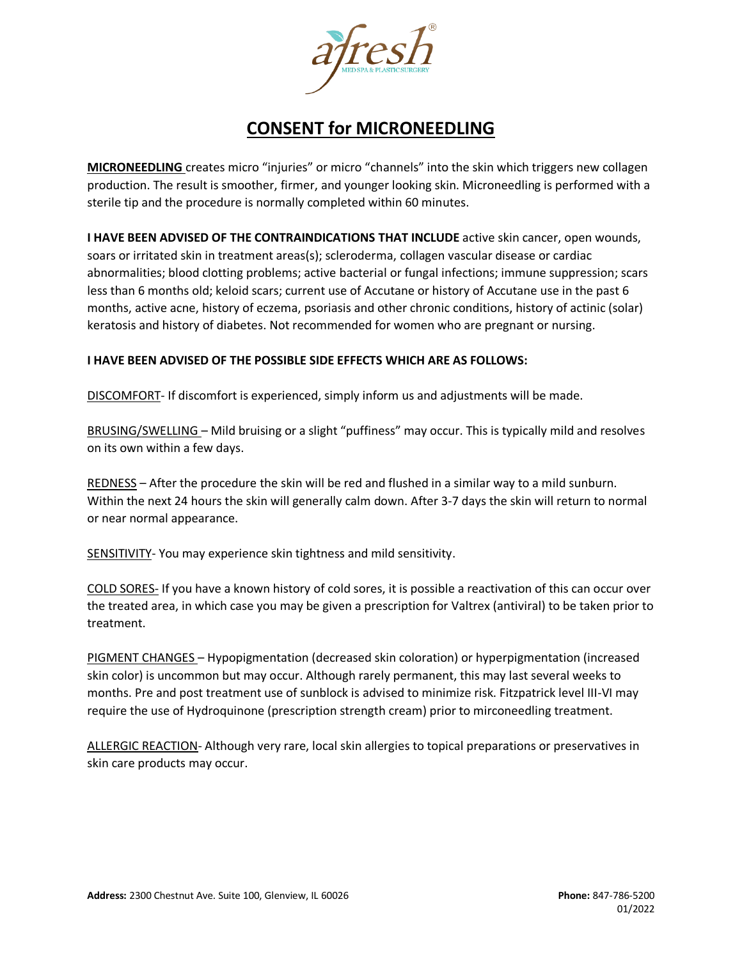

## **CONSENT for MICRONEEDLING**

**MICRONEEDLING** creates micro "injuries" or micro "channels" into the skin which triggers new collagen production. The result is smoother, firmer, and younger looking skin. Microneedling is performed with a sterile tip and the procedure is normally completed within 60 minutes.

**I HAVE BEEN ADVISED OF THE CONTRAINDICATIONS THAT INCLUDE** active skin cancer, open wounds, soars or irritated skin in treatment areas(s); scleroderma, collagen vascular disease or cardiac abnormalities; blood clotting problems; active bacterial or fungal infections; immune suppression; scars less than 6 months old; keloid scars; current use of Accutane or history of Accutane use in the past 6 months, active acne, history of eczema, psoriasis and other chronic conditions, history of actinic (solar) keratosis and history of diabetes. Not recommended for women who are pregnant or nursing.

## **I HAVE BEEN ADVISED OF THE POSSIBLE SIDE EFFECTS WHICH ARE AS FOLLOWS:**

DISCOMFORT- If discomfort is experienced, simply inform us and adjustments will be made.

BRUSING/SWELLING – Mild bruising or a slight "puffiness" may occur. This is typically mild and resolves on its own within a few days.

REDNESS – After the procedure the skin will be red and flushed in a similar way to a mild sunburn. Within the next 24 hours the skin will generally calm down. After 3-7 days the skin will return to normal or near normal appearance.

SENSITIVITY- You may experience skin tightness and mild sensitivity.

COLD SORES- If you have a known history of cold sores, it is possible a reactivation of this can occur over the treated area, in which case you may be given a prescription for Valtrex (antiviral) to be taken prior to treatment.

PIGMENT CHANGES – Hypopigmentation (decreased skin coloration) or hyperpigmentation (increased skin color) is uncommon but may occur. Although rarely permanent, this may last several weeks to months. Pre and post treatment use of sunblock is advised to minimize risk. Fitzpatrick level III-VI may require the use of Hydroquinone (prescription strength cream) prior to mirconeedling treatment.

ALLERGIC REACTION- Although very rare, local skin allergies to topical preparations or preservatives in skin care products may occur.